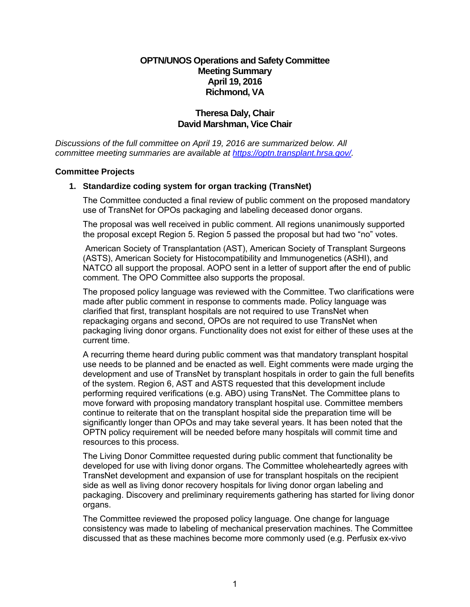# **OPTN/UNOS Operations and Safety Committee Meeting Summary April 19, 2016 Richmond, VA**

## **Theresa Daly, Chair David Marshman, Vice Chair**

*Discussions of the full committee on April 19, 2016 are summarized below. All committee meeting summaries are available at https[://optn.transpla](https://optn.transplant.hrsa.gov/)nt.hrsa.gov/.* 

#### **Committee Projects**

## **1. Standardize coding system for organ tracking (TransNet)**

The Committee conducted a final review of public comment on the proposed mandatory use of TransNet for OPOs packaging and labeling deceased donor organs.

The proposal was well received in public comment. All regions unanimously supported the proposal except Region 5. Region 5 passed the proposal but had two "no" votes.

American Society of Transplantation (AST), American Society of Transplant Surgeons (ASTS), American Society for Histocompatibility and Immunogenetics (ASHI), and NATCO all support the proposal. AOPO sent in a letter of support after the end of public comment. The OPO Committee also supports the proposal.

The proposed policy language was reviewed with the Committee. Two clarifications were made after public comment in response to comments made. Policy language was clarified that first, transplant hospitals are not required to use TransNet when repackaging organs and second, OPOs are not required to use TransNet when packaging living donor organs. Functionality does not exist for either of these uses at the current time.

A recurring theme heard during public comment was that mandatory transplant hospital use needs to be planned and be enacted as well. Eight comments were made urging the development and use of TransNet by transplant hospitals in order to gain the full benefits of the system. Region 6, AST and ASTS requested that this development include performing required verifications (e.g. ABO) using TransNet. The Committee plans to move forward with proposing mandatory transplant hospital use. Committee members continue to reiterate that on the transplant hospital side the preparation time will be significantly longer than OPOs and may take several years. It has been noted that the OPTN policy requirement will be needed before many hospitals will commit time and resources to this process.

The Living Donor Committee requested during public comment that functionality be developed for use with living donor organs. The Committee wholeheartedly agrees with TransNet development and expansion of use for transplant hospitals on the recipient side as well as living donor recovery hospitals for living donor organ labeling and packaging. Discovery and preliminary requirements gathering has started for living donor organs.

The Committee reviewed the proposed policy language. One change for language consistency was made to labeling of mechanical preservation machines. The Committee discussed that as these machines become more commonly used (e.g. Perfusix ex-vivo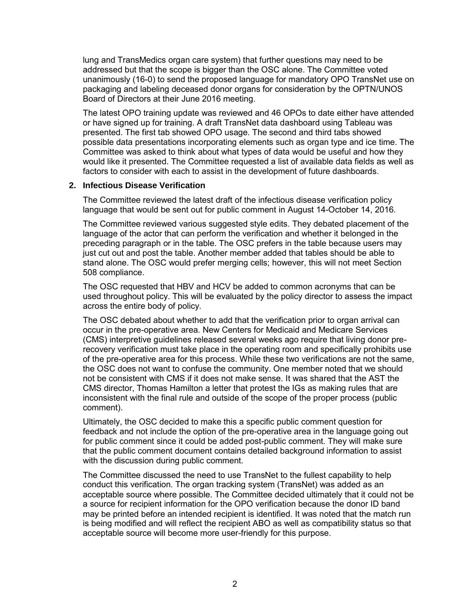lung and TransMedics organ care system) that further questions may need to be addressed but that the scope is bigger than the OSC alone. The Committee voted unanimously (16-0) to send the proposed language for mandatory OPO TransNet use on packaging and labeling deceased donor organs for consideration by the OPTN/UNOS Board of Directors at their June 2016 meeting.

The latest OPO training update was reviewed and 46 OPOs to date either have attended or have signed up for training. A draft TransNet data dashboard using Tableau was presented. The first tab showed OPO usage. The second and third tabs showed possible data presentations incorporating elements such as organ type and ice time. The Committee was asked to think about what types of data would be useful and how they would like it presented. The Committee requested a list of available data fields as well as factors to consider with each to assist in the development of future dashboards.

#### **2. Infectious Disease Verification**

The Committee reviewed the latest draft of the infectious disease verification policy language that would be sent out for public comment in August 14-October 14, 2016.

The Committee reviewed various suggested style edits. They debated placement of the language of the actor that can perform the verification and whether it belonged in the preceding paragraph or in the table. The OSC prefers in the table because users may just cut out and post the table. Another member added that tables should be able to stand alone. The OSC would prefer merging cells; however, this will not meet Section 508 compliance.

The OSC requested that HBV and HCV be added to common acronyms that can be used throughout policy. This will be evaluated by the policy director to assess the impact across the entire body of policy.

The OSC debated about whether to add that the verification prior to organ arrival can occur in the pre-operative area. New Centers for Medicaid and Medicare Services (CMS) interpretive guidelines released several weeks ago require that living donor prerecovery verification must take place in the operating room and specifically prohibits use of the pre-operative area for this process. While these two verifications are not the same, the OSC does not want to confuse the community. One member noted that we should not be consistent with CMS if it does not make sense. It was shared that the AST the CMS director, Thomas Hamilton a letter that protest the IGs as making rules that are inconsistent with the final rule and outside of the scope of the proper process (public comment).

Ultimately, the OSC decided to make this a specific public comment question for feedback and not include the option of the pre-operative area in the language going out for public comment since it could be added post-public comment. They will make sure that the public comment document contains detailed background information to assist with the discussion during public comment.

The Committee discussed the need to use TransNet to the fullest capability to help conduct this verification. The organ tracking system (TransNet) was added as an acceptable source where possible. The Committee decided ultimately that it could not be a source for recipient information for the OPO verification because the donor ID band may be printed before an intended recipient is identified. It was noted that the match run is being modified and will reflect the recipient ABO as well as compatibility status so that acceptable source will become more user-friendly for this purpose.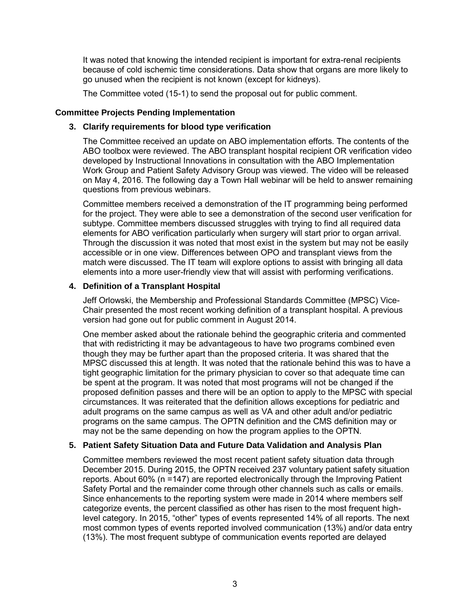It was noted that knowing the intended recipient is important for extra-renal recipients because of cold ischemic time considerations. Data show that organs are more likely to go unused when the recipient is not known (except for kidneys).

The Committee voted (15-1) to send the proposal out for public comment.

#### **Committee Projects Pending Implementation**

#### **3. Clarify requirements for blood type verification**

The Committee received an update on ABO implementation efforts. The contents of the ABO toolbox were reviewed. The ABO transplant hospital recipient OR verification video developed by Instructional Innovations in consultation with the ABO Implementation Work Group and Patient Safety Advisory Group was viewed. The video will be released on May 4, 2016. The following day a Town Hall webinar will be held to answer remaining questions from previous webinars.

Committee members received a demonstration of the IT programming being performed for the project. They were able to see a demonstration of the second user verification for subtype. Committee members discussed struggles with trying to find all required data elements for ABO verification particularly when surgery will start prior to organ arrival. Through the discussion it was noted that most exist in the system but may not be easily accessible or in one view. Differences between OPO and transplant views from the match were discussed. The IT team will explore options to assist with bringing all data elements into a more user-friendly view that will assist with performing verifications.

## **4. Definition of a Transplant Hospital**

Jeff Orlowski, the Membership and Professional Standards Committee (MPSC) Vice-Chair presented the most recent working definition of a transplant hospital. A previous version had gone out for public comment in August 2014.

One member asked about the rationale behind the geographic criteria and commented that with redistricting it may be advantageous to have two programs combined even though they may be further apart than the proposed criteria. It was shared that the MPSC discussed this at length. It was noted that the rationale behind this was to have a tight geographic limitation for the primary physician to cover so that adequate time can be spent at the program. It was noted that most programs will not be changed if the proposed definition passes and there will be an option to apply to the MPSC with special circumstances. It was reiterated that the definition allows exceptions for pediatric and adult programs on the same campus as well as VA and other adult and/or pediatric programs on the same campus. The OPTN definition and the CMS definition may or may not be the same depending on how the program applies to the OPTN.

## **5. Patient Safety Situation Data and Future Data Validation and Analysis Plan**

Committee members reviewed the most recent patient safety situation data through December 2015. During 2015, the OPTN received 237 voluntary patient safety situation reports. About 60% (n =147) are reported electronically through the Improving Patient Safety Portal and the remainder come through other channels such as calls or emails. Since enhancements to the reporting system were made in 2014 where members self categorize events, the percent classified as other has risen to the most frequent highlevel category. In 2015, "other" types of events represented 14% of all reports. The next most common types of events reported involved communication (13%) and/or data entry (13%). The most frequent subtype of communication events reported are delayed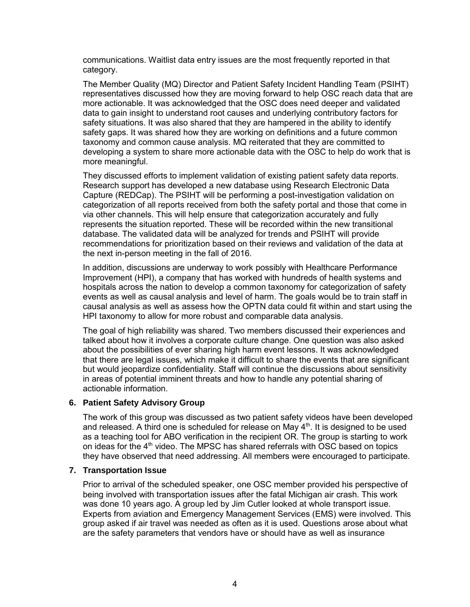communications. Waitlist data entry issues are the most frequently reported in that category.

The Member Quality (MQ) Director and Patient Safety Incident Handling Team (PSIHT) representatives discussed how they are moving forward to help OSC reach data that are more actionable. It was acknowledged that the OSC does need deeper and validated data to gain insight to understand root causes and underlying contributory factors for safety situations. It was also shared that they are hampered in the ability to identify safety gaps. It was shared how they are working on definitions and a future common taxonomy and common cause analysis. MQ reiterated that they are committed to developing a system to share more actionable data with the OSC to help do work that is more meaningful.

They discussed efforts to implement validation of existing patient safety data reports. Research support has developed a new database using Research Electronic Data Capture (REDCap). The PSIHT will be performing a post-investigation validation on categorization of all reports received from both the safety portal and those that come in via other channels. This will help ensure that categorization accurately and fully represents the situation reported. These will be recorded within the new transitional database. The validated data will be analyzed for trends and PSIHT will provide recommendations for prioritization based on their reviews and validation of the data at the next in-person meeting in the fall of 2016.

In addition, discussions are underway to work possibly with Healthcare Performance Improvement (HPI), a company that has worked with hundreds of health systems and hospitals across the nation to develop a common taxonomy for categorization of safety events as well as causal analysis and level of harm. The goals would be to train staff in causal analysis as well as assess how the OPTN data could fit within and start using the HPI taxonomy to allow for more robust and comparable data analysis.

The goal of high reliability was shared. Two members discussed their experiences and talked about how it involves a corporate culture change. One question was also asked about the possibilities of ever sharing high harm event lessons. It was acknowledged that there are legal issues, which make it difficult to share the events that are significant but would jeopardize confidentiality. Staff will continue the discussions about sensitivity in areas of potential imminent threats and how to handle any potential sharing of actionable information.

## **6. Patient Safety Advisory Group**

The work of this group was discussed as two patient safety videos have been developed and released. A third one is scheduled for release on May  $4<sup>th</sup>$ . It is designed to be used as a teaching tool for ABO verification in the recipient OR. The group is starting to work on ideas for the  $4<sup>th</sup>$  video. The MPSC has shared referrals with OSC based on topics they have observed that need addressing. All members were encouraged to participate.

#### **7. Transportation Issue**

Prior to arrival of the scheduled speaker, one OSC member provided his perspective of being involved with transportation issues after the fatal Michigan air crash. This work was done 10 years ago. A group led by Jim Cutler looked at whole transport issue. Experts from aviation and Emergency Management Services (EMS) were involved. This group asked if air travel was needed as often as it is used. Questions arose about what are the safety parameters that vendors have or should have as well as insurance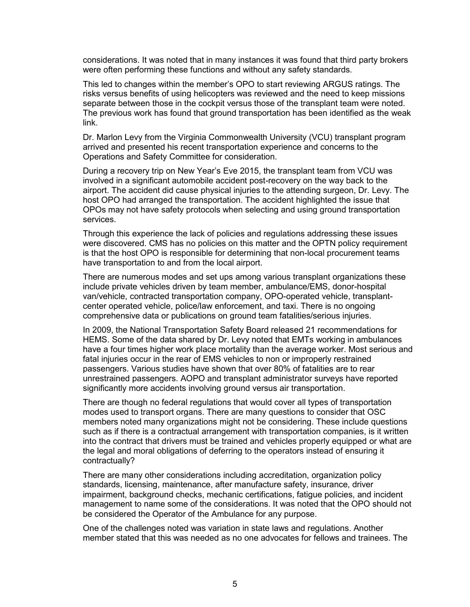considerations. It was noted that in many instances it was found that third party brokers were often performing these functions and without any safety standards.

This led to changes within the member's OPO to start reviewing ARGUS ratings. The risks versus benefits of using helicopters was reviewed and the need to keep missions separate between those in the cockpit versus those of the transplant team were noted. The previous work has found that ground transportation has been identified as the weak link.

Dr. Marlon Levy from the Virginia Commonwealth University (VCU) transplant program arrived and presented his recent transportation experience and concerns to the Operations and Safety Committee for consideration.

During a recovery trip on New Year's Eve 2015, the transplant team from VCU was involved in a significant automobile accident post-recovery on the way back to the airport. The accident did cause physical injuries to the attending surgeon, Dr. Levy. The host OPO had arranged the transportation. The accident highlighted the issue that OPOs may not have safety protocols when selecting and using ground transportation services.

Through this experience the lack of policies and regulations addressing these issues were discovered. CMS has no policies on this matter and the OPTN policy requirement is that the host OPO is responsible for determining that non-local procurement teams have transportation to and from the local airport.

There are numerous modes and set ups among various transplant organizations these include private vehicles driven by team member, ambulance/EMS, donor-hospital van/vehicle, contracted transportation company, OPO-operated vehicle, transplantcenter operated vehicle, police/law enforcement, and taxi. There is no ongoing comprehensive data or publications on ground team fatalities/serious injuries.

In 2009, the National Transportation Safety Board released 21 recommendations for HEMS. Some of the data shared by Dr. Levy noted that EMTs working in ambulances have a four times higher work place mortality than the average worker. Most serious and fatal injuries occur in the rear of EMS vehicles to non or improperly restrained passengers. Various studies have shown that over 80% of fatalities are to rear unrestrained passengers. AOPO and transplant administrator surveys have reported significantly more accidents involving ground versus air transportation.

There are though no federal regulations that would cover all types of transportation modes used to transport organs. There are many questions to consider that OSC members noted many organizations might not be considering. These include questions such as if there is a contractual arrangement with transportation companies, is it written into the contract that drivers must be trained and vehicles properly equipped or what are the legal and moral obligations of deferring to the operators instead of ensuring it contractually?

There are many other considerations including accreditation, organization policy standards, licensing, maintenance, after manufacture safety, insurance, driver impairment, background checks, mechanic certifications, fatigue policies, and incident management to name some of the considerations. It was noted that the OPO should not be considered the Operator of the Ambulance for any purpose.

One of the challenges noted was variation in state laws and regulations. Another member stated that this was needed as no one advocates for fellows and trainees. The